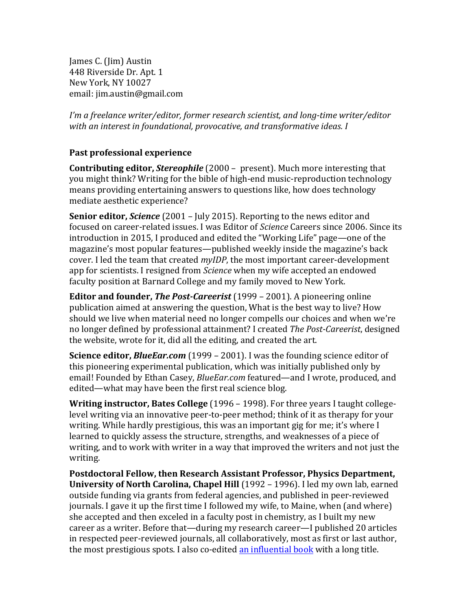James C. (Jim) Austin 448 Riverside Dr. Apt. 1 New York, NY 10027 email: jim.austin@gmail.com

*I'm a freelance writer/editor, former research scientist, and long-time writer/editor with an interest in foundational, provocative, and transformative ideas. I*

## **Past professional experience**

**Contributing editor,** *Stereophile* (2000 – present). Much more interesting that you might think? Writing for the bible of high-end music-reproduction technology means providing entertaining answers to questions like, how does technology mediate aesthetic experience?

**Senior editor, Science** (2001 – July 2015). Reporting to the news editor and focused on career-related issues. I was Editor of *Science* Careers since 2006. Since its introduction in 2015, I produced and edited the "Working Life" page—one of the magazine's most popular features—published weekly inside the magazine's back cover. I led the team that created *myIDP*, the most important career-development app for scientists. I resigned from *Science* when my wife accepted an endowed faculty position at Barnard College and my family moved to New York.

**Editor and founder,** *The Post-Careerist* (1999 – 2001). A pioneering online publication aimed at answering the question, What is the best way to live? How should we live when material need no longer compells our choices and when we're no longer defined by professional attainment? I created *The Post-Careerist*, designed the website, wrote for it, did all the editing, and created the art.

**Science editor,** *BlueEar.com* (1999 – 2001). I was the founding science editor of this pioneering experimental publication, which was initially published only by email! Founded by Ethan Casey, *BlueEar.com* featured—and I wrote, produced, and edited—what may have been the first real science blog.

**Writing instructor, Bates College** (1996 – 1998). For three years I taught collegelevel writing via an innovative peer-to-peer method; think of it as therapy for your writing. While hardly prestigious, this was an important gig for me; it's where I learned to quickly assess the structure, strengths, and weaknesses of a piece of writing, and to work with writer in a way that improved the writers and not just the writing.

Postdoctoral Fellow, then Research Assistant Professor, Physics Department, **University of North Carolina, Chapel Hill** (1992 – 1996). I led my own lab, earned outside funding via grants from federal agencies, and published in peer-reviewed journals. I gave it up the first time I followed my wife, to Maine, when (and where) she accepted and then exceled in a faculty post in chemistry, as I built my new career as a writer. Before that—during my research career—I published 20 articles in respected peer-reviewed journals, all collaboratively, most as first or last author, the most prestigious spots. I also co-edited an influential book with a long title.